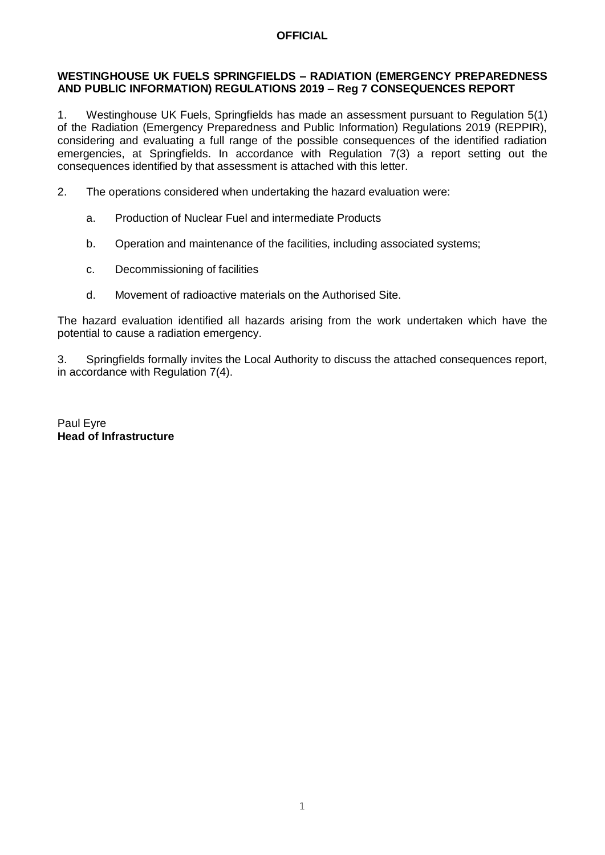## **OFFICIAL**

#### **WESTINGHOUSE UK FUELS SPRINGFIELDS – RADIATION (EMERGENCY PREPAREDNESS AND PUBLIC INFORMATION) REGULATIONS 2019 – Reg 7 CONSEQUENCES REPORT**

1. Westinghouse UK Fuels, Springfields has made an assessment pursuant to Regulation 5(1) of the Radiation (Emergency Preparedness and Public Information) Regulations 2019 (REPPIR), considering and evaluating a full range of the possible consequences of the identified radiation emergencies, at Springfields. In accordance with Regulation 7(3) a report setting out the consequences identified by that assessment is attached with this letter.

- 2. The operations considered when undertaking the hazard evaluation were:
	- a. Production of Nuclear Fuel and intermediate Products
	- b. Operation and maintenance of the facilities, including associated systems;
	- c. Decommissioning of facilities
	- d. Movement of radioactive materials on the Authorised Site.

The hazard evaluation identified all hazards arising from the work undertaken which have the potential to cause a radiation emergency.

3. Springfields formally invites the Local Authority to discuss the attached consequences report, in accordance with Regulation 7(4).

Paul Eyre **Head of Infrastructure**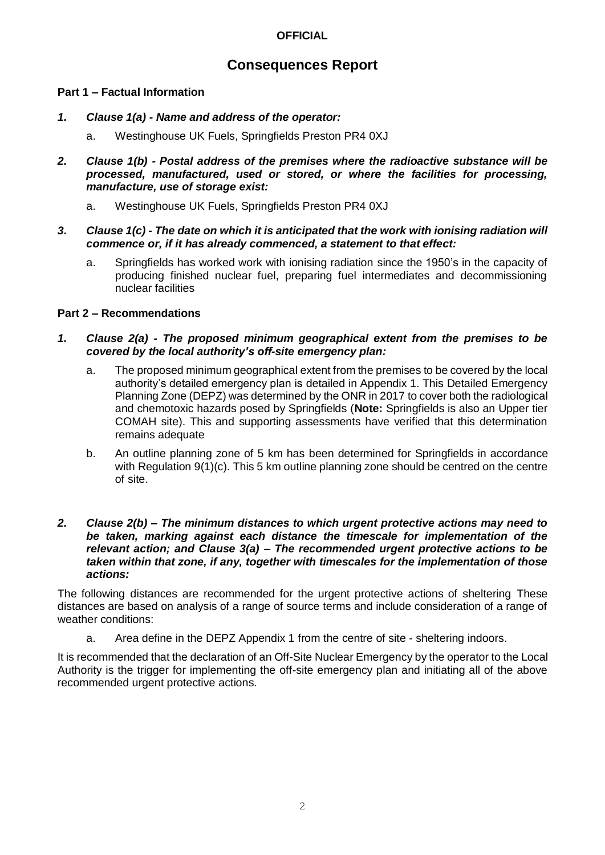# **OFFICIAL**

# **Consequences Report**

## **Part 1 – Factual Information**

- *1. Clause 1(a) - Name and address of the operator:*
	- a. Westinghouse UK Fuels, Springfields Preston PR4 0XJ
- *2. Clause 1(b) - Postal address of the premises where the radioactive substance will be processed, manufactured, used or stored, or where the facilities for processing, manufacture, use of storage exist:*
	- a. Westinghouse UK Fuels, Springfields Preston PR4 0XJ
- *3. Clause 1(c) - The date on which it is anticipated that the work with ionising radiation will commence or, if it has already commenced, a statement to that effect:*
	- a. Springfields has worked work with ionising radiation since the 1950's in the capacity of producing finished nuclear fuel, preparing fuel intermediates and decommissioning nuclear facilities

## **Part 2 – Recommendations**

- *1. Clause 2(a) - The proposed minimum geographical extent from the premises to be covered by the local authority's off-site emergency plan:*
	- a. The proposed minimum geographical extent from the premises to be covered by the local authority's detailed emergency plan is detailed in Appendix 1. This Detailed Emergency Planning Zone (DEPZ) was determined by the ONR in 2017 to cover both the radiological and chemotoxic hazards posed by Springfields (**Note:** Springfields is also an Upper tier COMAH site). This and supporting assessments have verified that this determination remains adequate
	- b. An outline planning zone of 5 km has been determined for Springfields in accordance with Regulation 9(1)(c). This 5 km outline planning zone should be centred on the centre of site.

#### *2. Clause 2(b) – The minimum distances to which urgent protective actions may need to be taken, marking against each distance the timescale for implementation of the relevant action; and Clause 3(a) – The recommended urgent protective actions to be taken within that zone, if any, together with timescales for the implementation of those actions:*

The following distances are recommended for the urgent protective actions of sheltering These distances are based on analysis of a range of source terms and include consideration of a range of weather conditions:

a. Area define in the DEPZ Appendix 1 from the centre of site - sheltering indoors.

It is recommended that the declaration of an Off-Site Nuclear Emergency by the operator to the Local Authority is the trigger for implementing the off-site emergency plan and initiating all of the above recommended urgent protective actions.